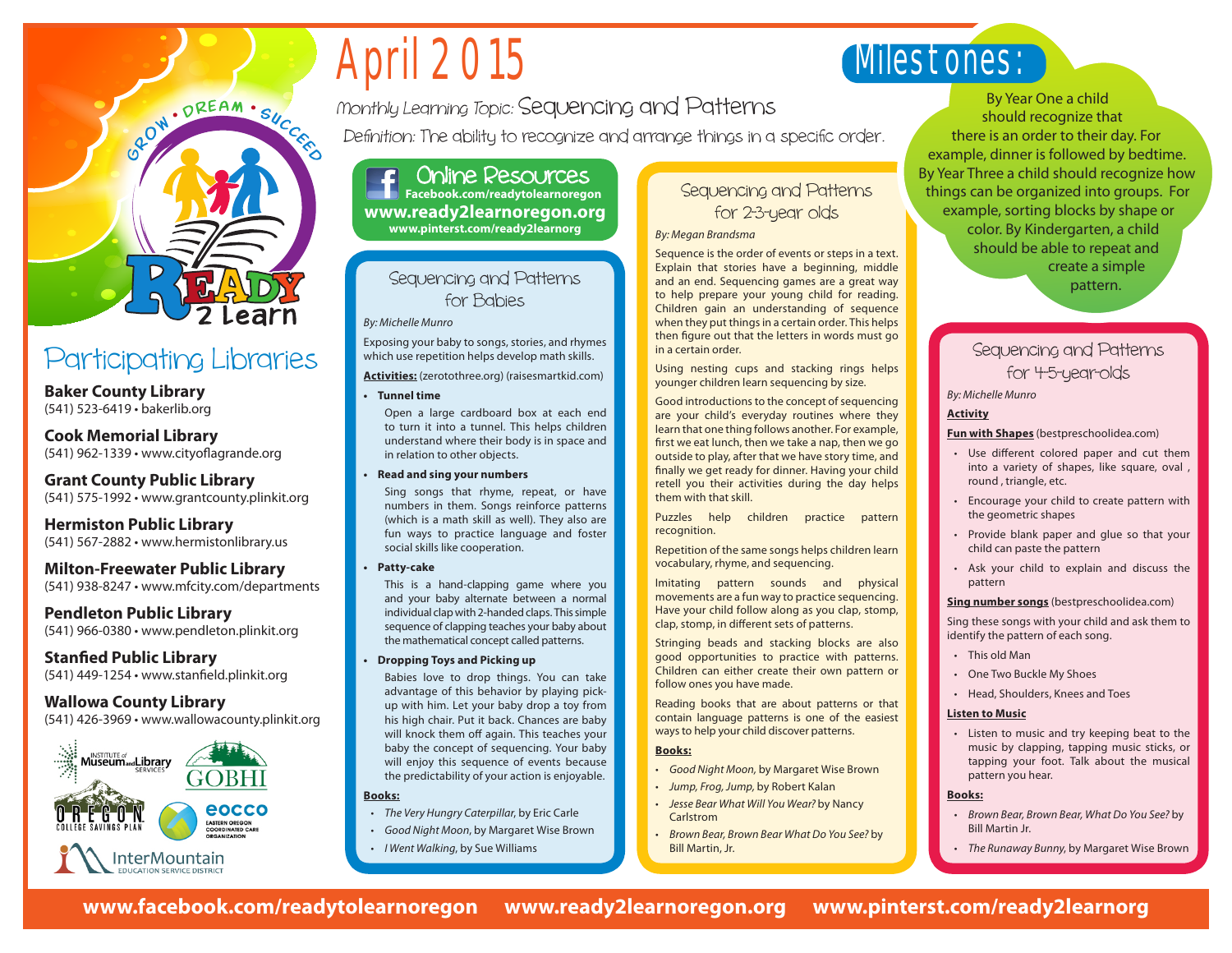# April 2015

## Milestones:

Monthly Learning Topic: Sequencing and Patterns

Definition: The ability to recognize and arrange things in a specific order.

Online Resources **Facebook.com/readytolearnoregon www.ready2learnoregon.org www.pinterst.com/ready2learnorg**

#### Sequencing and Patterns for Babies

*By: Michelle Munro*

Exposing your baby to songs, stories, and rhymes which use repetition helps develop math skills.

**Activities:** (zerotothree.org) (raisesmartkid.com)

**• Tunnel time** 

Open a large cardboard box at each end to turn it into a tunnel. This helps children understand where their body is in space and in relation to other objects.

**Read and sing your numbers** 

Sing songs that rhyme, repeat, or have numbers in them. Songs reinforce patterns (which is a math skill as well). They also are fun ways to practice language and foster social skills like cooperation.

**Patty-cake** 

This is a hand-clapping game where you and your baby alternate between a normal individual clap with 2-handed claps. This simple sequence of clapping teaches your baby about the mathematical concept called patterns.

**Dropping Toys and Picking up** 

Babies love to drop things. You can take advantage of this behavior by playing pickup with him. Let your baby drop a toy from his high chair. Put it back. Chances are baby will knock them off again. This teaches your baby the concept of sequencing. Your baby will enjoy this sequence of events because the predictability of your action is enjoyable.

#### **Books:**

- • *The Very Hungry Caterpillar*, by Eric Carle
- • *Good Night Moon*, by Margaret Wise Brown
- • *I Went Walking*, by Sue Williams

## Sequencing and Patterns for 2-3-year olds

#### *By: Megan Brandsma*

Sequence is the order of events or steps in a text. Explain that stories have a beginning, middle and an end. Sequencing games are a great way to help prepare your young child for reading. Children gain an understanding of sequence when they put things in a certain order. This helps then figure out that the letters in words must go in a certain order.

Using nesting cups and stacking rings helps younger children learn sequencing by size.

Good introductions to the concept of sequencing are your child's everyday routines where they learn that one thing follows another. For example, first we eat lunch, then we take a nap, then we go outside to play, after that we have story time, and finally we get ready for dinner. Having your child retell you their activities during the day helps them with that skill.

Puzzles help children practice pattern recognition.

Repetition of the same songs helps children learn vocabulary, rhyme, and sequencing.

Imitating pattern sounds and physical movements are a fun way to practice sequencing. Have your child follow along as you clap, stomp, clap, stomp, in different sets of patterns.

Stringing beads and stacking blocks are also good opportunities to practice with patterns. Children can either create their own pattern or follow ones you have made.

Reading books that are about patterns or that contain language patterns is one of the easiest ways to help your child discover patterns.

#### **Books:**

- • *Good Night Moon,* by Margaret Wise Brown
- • *Jump, Frog, Jump,* by Robert Kalan
- • *Jesse Bear What Will You Wear?* by Nancy Carlstrom
- **Brown Bear, Brown Bear What Do You See? by** Bill Martin, Jr.

By Year One a child should recognize that there is an order to their day. For example, dinner is followed by bedtime. By Year Three a child should recognize how things can be organized into groups. For example, sorting blocks by shape or color. By Kindergarten, a child should be able to repeat and create a simple pattern.

## Sequencing and Patterns for 4-5-year-olds

*By: Michelle Munro*

#### **Activity**

**Fun with Shapes** (bestpreschoolidea.com)

- Use different colored paper and cut them into a variety of shapes, like square, oval , round , triangle, etc.
- Encourage your child to create pattern with the geometric shapes
- Provide blank paper and glue so that your child can paste the pattern
- Ask your child to explain and discuss the pattern

#### **Sing number songs** (bestpreschoolidea.com)

Sing these songs with your child and ask them to identify the pattern of each song.

- This old Man
- One Two Buckle My Shoes
- Head, Shoulders, Knees and Toes

#### **Listen to Music**

• Listen to music and try keeping beat to the music by clapping, tapping music sticks, or tapping your foot. Talk about the musical pattern you hear.

#### **Books:**

- • *Brown Bear, Brown Bear, What Do You See?* by Bill Martin Jr.
- • *The Runaway Bunny*, by Margaret Wise Brown

## Participating Libraries **Baker County Library**

(541) 523-6419 • bakerlib.org

#### **Cook Memorial Library** (541) 962-1339 • www.cityoflagrande.org

**Grant County Public Library** (541) 575-1992 • www.grantcounty.plinkit.org

BOW DREAM . SUCCES

**Hermiston Public Library** (541) 567-2882 • www.hermistonlibrary.us

**Milton-Freewater Public Library** (541) 938-8247 • www.mfcity.com/departments

**Pendleton Public Library** (541) 966-0380 • www.pendleton.plinkit.org

**Stanfied Public Library** (541) 449-1254 • www.stanfield.plinkit.org

#### **Wallowa County Library**

(541) 426-3969 • www.wallowacounty.plinkit.org

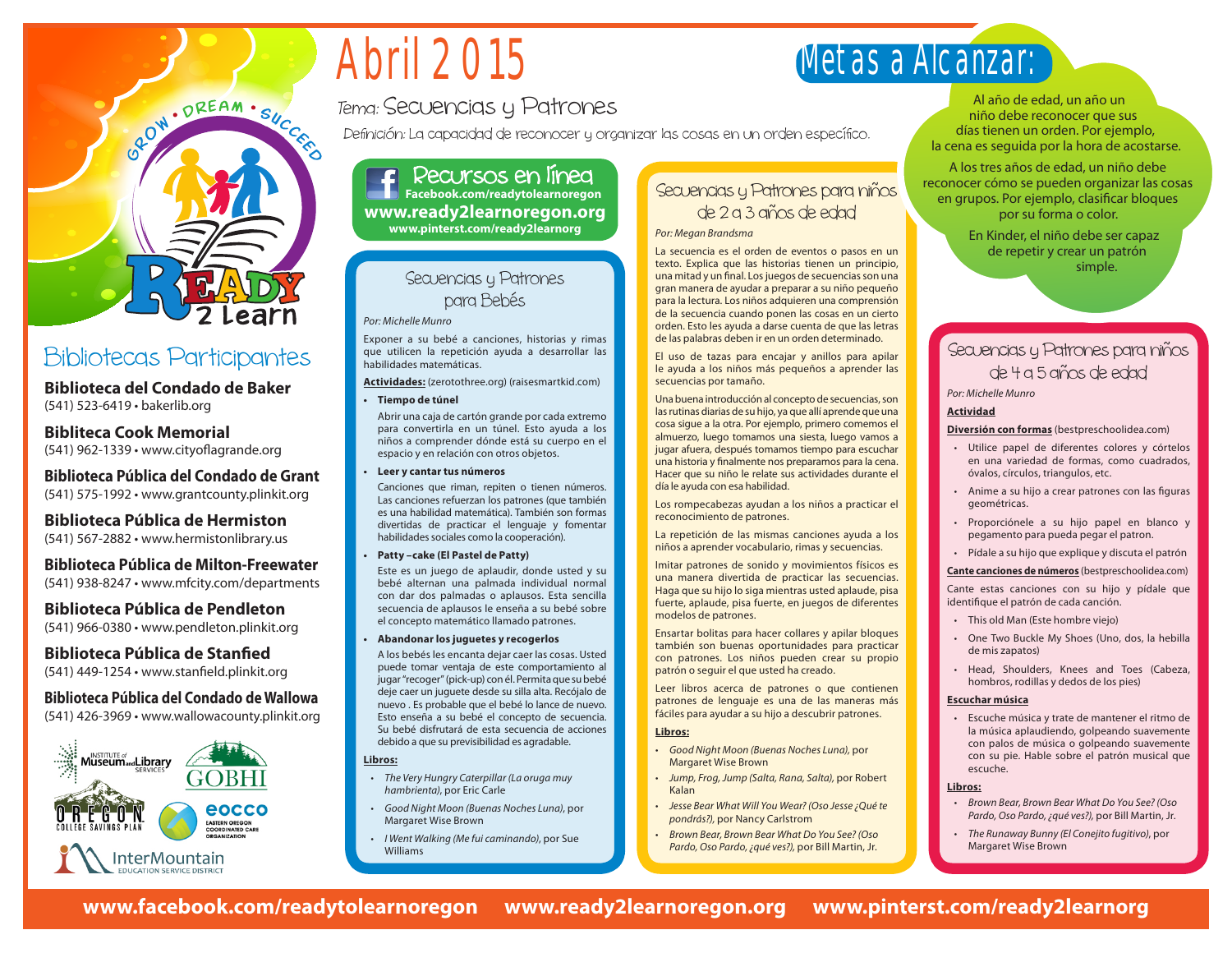# Abril 2015

## Tema: Secuencias y Patrones

Definición: La capacidad de reconocer y organizar las cosas en un orden específico.

Recursos en línea **Facebook.com/readytolearnoregon www.ready2learnoregon.org www.pinterst.com/ready2learnorg**

#### Secuencias y Patrones para Bebés

*Por: Michelle Munro*

Exponer a su bebé a canciones, historias y rimas que utilicen la repetición ayuda a desarrollar las habilidades matemáticas.

**Actividades:** (zerotothree.org) (raisesmartkid.com)

**• Tiempo de túnel** 

Abrir una caja de cartón grande por cada extremo para convertirla en un túnel. Esto ayuda a los niños a comprender dónde está su cuerpo en el espacio y en relación con otros objetos.

**• Leer y cantar tus números**

Canciones que riman, repiten o tienen números. Las canciones refuerzan los patrones (que también es una habilidad matemática). También son formas divertidas de practicar el lenguaje y fomentar habilidades sociales como la cooperación).

**Patty -cake (El Pastel de Patty)** 

Este es un juego de aplaudir, donde usted y su bebé alternan una palmada individual normal con dar dos palmadas o aplausos. Esta sencilla secuencia de aplausos le enseña a su bebé sobre el concepto matemático llamado patrones.

**• Abandonar los juguetes y recogerlos**

A los bebés les encanta dejar caer las cosas. Usted puede tomar ventaja de este comportamiento al jugar "recoger" (pick-up) con él. Permita que su bebé deje caer un juguete desde su silla alta. Recójalo de nuevo . Es probable que el bebé lo lance de nuevo. Esto enseña a su bebé el concepto de secuencia. Su bebé disfrutará de esta secuencia de acciones debido a que su previsibilidad es agradable.

**Libros:**

- • *The Very Hungry Caterpillar (La oruga muy hambrienta)*, por Eric Carle
- • *Good Night Moon (Buenas Noches Luna)*, por Margaret Wise Brown
- • *I Went Walking (Me fui caminando)*, por Sue Williams

## Secuencias y Patrones para niños de 2 a 3 años de edad

#### *Por: Megan Brandsma*

La secuencia es el orden de eventos o pasos en un texto. Explica que las historias tienen un principio, una mitad y un final. Los juegos de secuencias son una gran manera de ayudar a preparar a su niño pequeño para la lectura. Los niños adquieren una comprensión de la secuencia cuando ponen las cosas en un cierto orden. Esto les ayuda a darse cuenta de que las letras de las palabras deben ir en un orden determinado.

El uso de tazas para encajar y anillos para apilar le ayuda a los niños más pequeños a aprender las secuencias por tamaño.

Una buena introducción al concepto de secuencias, son las rutinas diarias de su hijo, ya que allí aprende que una cosa sigue a la otra. Por ejemplo, primero comemos el almuerzo, luego tomamos una siesta, luego vamos a jugar afuera, después tomamos tiempo para escuchar una historia y finalmente nos preparamos para la cena. Hacer que su niño le relate sus actividades durante el día le ayuda con esa habilidad.

Los rompecabezas ayudan a los niños a practicar el reconocimiento de patrones.

La repetición de las mismas canciones ayuda a los niños a aprender vocabulario, rimas y secuencias.

Imitar patrones de sonido y movimientos físicos es una manera divertida de practicar las secuencias. Haga que su hijo lo siga mientras usted aplaude, pisa fuerte, aplaude, pisa fuerte, en juegos de diferentes modelos de patrones.

Ensartar bolitas para hacer collares y apilar bloques también son buenas oportunidades para practicar con patrones. Los niños pueden crear su propio patrón o seguir el que usted ha creado.

Leer libros acerca de patrones o que contienen patrones de lenguaje es una de las maneras más fáciles para ayudar a su hijo a descubrir patrones.

#### **Libros:**

- • *Good Night Moon (Buenas Noches Luna),* por Margaret Wise Brown
- • *Jump, Frog, Jump (Salta, Rana, Salta),* por Robert Kalan
- • *Jesse Bear What Will You Wear? (Oso Jesse ¿Qué te pondrás?),* por Nancy Carlstrom
- **Brown Bear, Brown Bear What Do You See? (Oso** *Pardo, Oso Pardo, ¿qué ves?),* por Bill Martin, Jr.

Al año de edad, un año un niño debe reconocer que sus días tienen un orden. Por ejemplo, la cena es seguida por la hora de acostarse.

A los tres años de edad, un niño debe reconocer cómo se pueden organizar las cosas en grupos. Por ejemplo, clasificar bloques por su forma o color.

> En Kinder, el niño debe ser capaz de repetir y crear un patrón simple.

## Secuencias y Patrones para niños de 4 a 5 años de edad

*Por: Michelle Munro*

#### **Actividad**

Metas a Alcanzar:

**Diversión con formas** (bestpreschoolidea.com)

- Utilice papel de diferentes colores y córtelos en una variedad de formas, como cuadrados, óvalos, círculos, triangulos, etc.
- Anime a su hijo a crear patrones con las figuras geométricas.
- Proporciónele a su hijo papel en blanco y pegamento para pueda pegar el patron.
- Pídale a su hijo que explique y discuta el patrón

**Cante canciones de números** (bestpreschoolidea.com)

Cante estas canciones con su hijo y pídale que identifique el patrón de cada canción.

- This old Man (Este hombre viejo)
- One Two Buckle My Shoes (Uno, dos, la hebilla de mis zapatos)
- Head, Shoulders, Knees and Toes (Cabeza, hombros, rodillas y dedos de los pies)

#### **Escuchar música**

• Escuche música y trate de mantener el ritmo de la música aplaudiendo, golpeando suavemente con palos de música o golpeando suavemente con su pie. Hable sobre el patrón musical que escuche.

#### **Libros:**

- • *Brown Bear, Brown Bear What Do You See? (Oso Pardo, Oso Pardo, ¿qué ves?),* por Bill Martin, Jr.
- • *The Runaway Bunny (El Conejito fugitivo)*, por Margaret Wise Brown

## Bibliotecas Participantes

**Biblioteca del Condado de Baker** (541) 523-6419 • bakerlib.org

#### **Bibliteca Cook Memorial** (541) 962-1339 • www.cityoflagrande.org

**Biblioteca Pública del Condado de Grant** (541) 575-1992 • www.grantcounty.plinkit.org

**Biblioteca Pública de Hermiston** (541) 567-2882 • www.hermistonlibrary.us

**Biblioteca Pública de Milton-Freewater** (541) 938-8247 • www.mfcity.com/departments

### **Biblioteca Pública de Pendleton**

(541) 966-0380 • www.pendleton.plinkit.org

**Biblioteca Pública de Stanfied**

(541) 449-1254 • www.stanfield.plinkit.org

#### **Biblioteca Pública del Condado de Wallowa** (541) 426-3969 • www.wallowacounty.plinkit.org



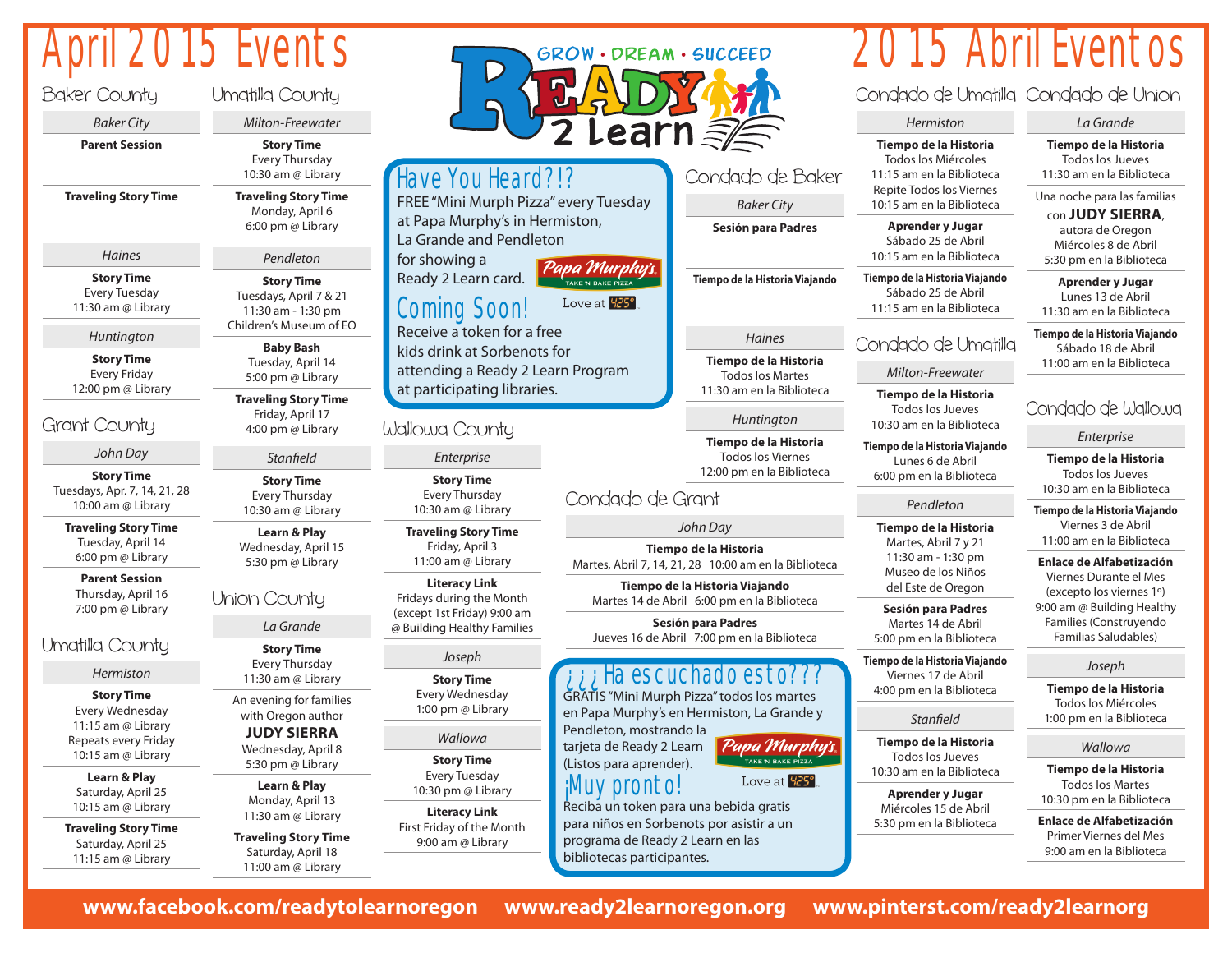## April 2015 Events

Baki

Gran

| Baker County                                                                                                          | Umatilla County                                                                                                |  |  |  |
|-----------------------------------------------------------------------------------------------------------------------|----------------------------------------------------------------------------------------------------------------|--|--|--|
| Baker City                                                                                                            | Milton-Freewater                                                                                               |  |  |  |
| <b>Parent Session</b>                                                                                                 | <b>Story Time</b><br><b>Every Thursday</b><br>10:30 am @ Library                                               |  |  |  |
| <b>Traveling Story Time</b>                                                                                           | <b>Traveling Story Time</b><br>Monday, April 6<br>6:00 pm @ Library                                            |  |  |  |
| Haines                                                                                                                | Pendleton                                                                                                      |  |  |  |
| <b>Story Time</b><br><b>Every Tuesday</b><br>11:30 am @ Library                                                       | <b>Story Time</b><br>Tuesdays, April 7 & 21<br>11:30 am - 1:30 pm<br>Children's Museum of EO                   |  |  |  |
| Huntington<br><b>Story Time</b><br><b>Every Friday</b>                                                                | <b>Baby Bash</b><br>Tuesday, April 14<br>5:00 pm @ Library                                                     |  |  |  |
| 12:00 pm @ Library<br>irant County                                                                                    | <b>Traveling Story Time</b><br>Friday, April 17<br>4:00 pm @ Library                                           |  |  |  |
| John Day                                                                                                              | Stanfield                                                                                                      |  |  |  |
|                                                                                                                       |                                                                                                                |  |  |  |
| <b>Story Time</b><br>Tuesdays, Apr. 7, 14, 21, 28<br>10:00 am @ Library                                               | <b>Story Time</b><br><b>Every Thursday</b><br>10:30 am @ Library                                               |  |  |  |
| <b>Traveling Story Time</b><br>Tuesday, April 14<br>6:00 pm @ Library                                                 | <b>Learn &amp; Play</b><br>Wednesday, April 15<br>5:30 pm @ Library                                            |  |  |  |
| <b>Parent Session</b><br>Thursday, April 16<br>7:00 pm @ Library                                                      | Union County                                                                                                   |  |  |  |
|                                                                                                                       | La Grande                                                                                                      |  |  |  |
|                                                                                                                       | <b>Story Time</b><br><b>Every Thursday</b>                                                                     |  |  |  |
| Hermiston                                                                                                             | 11:30 am @ Library                                                                                             |  |  |  |
| <b>Story Time</b><br><b>Every Wednesday</b><br>11:15 am @ Library<br>Repeats every Friday<br>10:15 am @ Library       | An evening for families<br>with Oregon author<br><b>JUDY SIERRA</b><br>Wednesday, April 8<br>5:30 pm @ Library |  |  |  |
| Imatilla County<br><b>Learn &amp; Play</b><br>Saturday, April 25<br>10:15 am @ Library<br><b>Traveling Story Time</b> | Learn & Play<br>Monday, April 13<br>11:30 am @ Library                                                         |  |  |  |



## 2015 Abril Eventos

Condado de Umatilla Condado de Union

#### *Hermiston*

**Tiempo de la Historia** Todos los Miércoles

11:15 am en la Biblioteca Repite Todos los Viernes 10:15 am en la Biblioteca

> **Aprender y Jugar** Sábado 25 de Abril 10:15 am en la Biblioteca

**Tiempo de la Historia Viajando Tiempo de la Historia Viajando** Sábado 25 de Abril

11:15 am en la Biblioteca

#### *Haines*

*Baker City* 

GROW · DREAM · SUCCEED

**Tiempo de la Historia** Todos los Martes 11:30 am en la Biblioteca

#### *Huntington*

**Tiempo de la Historia** Todos los Viernes 12:00 pm en la Biblioteca

*John Day*

*John Day* **Te motorie<br>10:00 am en la Ribliote Tiempo de la Historia**

Tiempo de la Historia Viajando **Tiempo de la Historia Viajando** Martes 14 de Abril 6:00 pm en la Biblioteca

Sesión para Padres 6:00 pm en la Biblioteca Jueves 16 de Abril 7:00 pm en la Biblioteca

#### **Sesión para Padres** Jueves 16 de Abril Ha escuchado esto???

GRATIS "Mini Murph Pizza" todos los martes en Papa Murphy's en Hermiston, La Grande y

Love at **425°** Reciba un token para una bebida gratis para niños en Sorbenots por asistir a un programa de Ready 2 Learn en las

## Condado de Umatilla *Milton-Freewater* **Tiempo de la Historia**

Todos los Jueves 10:30 am en la Biblioteca

**Tiempo de la Historia Viajando** Lunes 6 de Abril 6:00 pm en la Biblioteca

#### *Pendleton*

**Tiempo de la Historia** Martes, Abril 7 y 21 11:30 am - 1:30 pm Museo de los Niños del Este de Oregon

**Sesión para Padres** Martes 14 de Abril 5:00 pm en la Biblioteca

**Tiempo de la Historia Viajando** Viernes 17 de Abril 4:00 pm en la Biblioteca

#### *Stanfield*

**Tiempo de la Historia** Todos los Jueves 10:30 am en la Biblioteca

**Aprender y Jugar** Miércoles 15 de Abril 5:30 pm en la Biblioteca

#### *La Grande* **Tiempo de la Historia** Todos los Jueves

11:30 am en la Biblioteca Una noche para las familias

con **JUDY SIERRA**,

autora de Oregon Miércoles 8 de Abril 5:30 pm en la Biblioteca

**Aprender y Jugar** Lunes 13 de Abril 11:30 am en la Biblioteca

**Tiempo de la Historia Viajando** Sábado 18 de Abril 11:00 am en la Biblioteca

### Condado de Wallowa

*Enterprise*

**Tiempo de la Historia** Todos los Jueves 10:30 am en la Biblioteca

**Tiempo de la Historia Viajando** Viernes 3 de Abril 11:00 am en la Biblioteca

#### **Enlace de Alfabetización**

Viernes Durante el Mes (excepto los viernes 1º) 9:00 am @ Building Healthy Families (Construyendo Familias Saludables)

#### *Joseph*

**Tiempo de la Historia** Todos los Miércoles 1:00 pm en la Biblioteca

#### *Wallowa*

**Tiempo de la Historia** Todos los Martes 10:30 pm en la Biblioteca

**Enlace de Alfabetización** Primer Viernes del Mes 9:00 am en la Biblioteca

**www.facebook.com/readytolearnoregon www.ready2learnoregon.org www.pinterst.com/ready2learnorg**

Uma